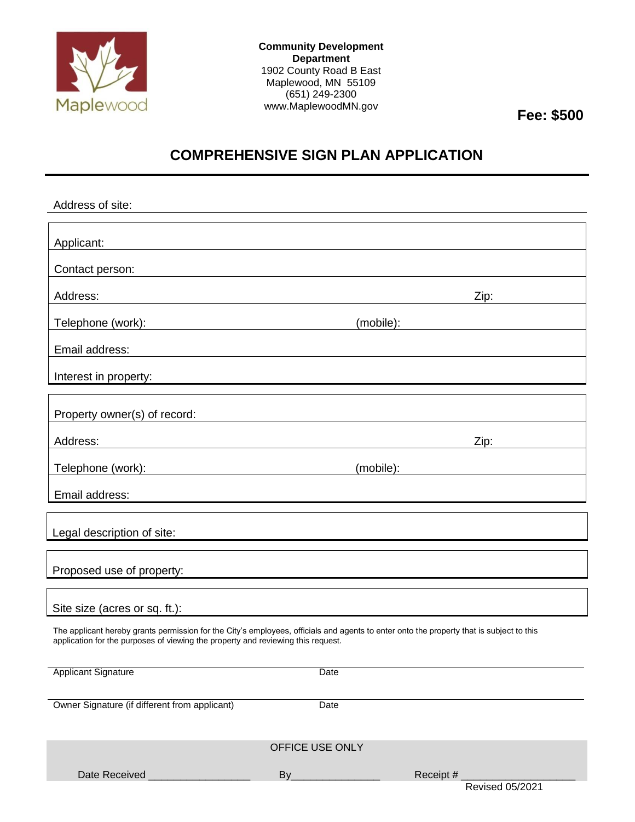

**Community Development Department** 1902 County Road B East Maplewood, MN 55109 (651) 249-2300 www.MaplewoodMN.gov **Fee: \$500**

## **COMPREHENSIVE SIGN PLAN APPLICATION**

| Address of site:                                                                                                                                                                                                             |                    |                                                                                                                                                                                                                                |
|------------------------------------------------------------------------------------------------------------------------------------------------------------------------------------------------------------------------------|--------------------|--------------------------------------------------------------------------------------------------------------------------------------------------------------------------------------------------------------------------------|
| Applicant:<br>and the control of the control of the control of the control of the control of the control of the control of the                                                                                               |                    |                                                                                                                                                                                                                                |
| Contact person:                                                                                                                                                                                                              |                    |                                                                                                                                                                                                                                |
| Address:                                                                                                                                                                                                                     |                    | Zip:                                                                                                                                                                                                                           |
| Telephone (work):                                                                                                                                                                                                            |                    | (mobile): www.communications.com/                                                                                                                                                                                              |
| Email address:                                                                                                                                                                                                               |                    |                                                                                                                                                                                                                                |
| Interest in property: <u>contained and the contained</u>                                                                                                                                                                     |                    |                                                                                                                                                                                                                                |
| Property owner(s) of record:                                                                                                                                                                                                 |                    |                                                                                                                                                                                                                                |
| Address:                                                                                                                                                                                                                     |                    | Zip: The Solid State State State State State State State State State State State State State State State State State State State State State State State State State State State State State State State State State State Sta |
| Telephone (work): Telephone (work):                                                                                                                                                                                          |                    | (mobile): the contract of the contract of the contract of the contract of the contract of the contract of the contract of the contract of the contract of the contract of the contract of the contract of the contract of the  |
| Email address:                                                                                                                                                                                                               |                    |                                                                                                                                                                                                                                |
| Legal description of site:                                                                                                                                                                                                   |                    |                                                                                                                                                                                                                                |
| Proposed use of property:                                                                                                                                                                                                    |                    |                                                                                                                                                                                                                                |
| Site size (acres or sq. ft.):                                                                                                                                                                                                |                    |                                                                                                                                                                                                                                |
| The applicant hereby grants permission for the City's employees, officials and agents to enter onto the property that is subject to this<br>application for the purposes of viewing the property and reviewing this request. |                    |                                                                                                                                                                                                                                |
| <b>Applicant Signature</b>                                                                                                                                                                                                   | Date               |                                                                                                                                                                                                                                |
| Owner Signature (if different from applicant)                                                                                                                                                                                | Date               |                                                                                                                                                                                                                                |
| OFFICE USE ONLY                                                                                                                                                                                                              |                    |                                                                                                                                                                                                                                |
| Date Received                                                                                                                                                                                                                | $By$ <sub>——</sub> | Receipt $#_$                                                                                                                                                                                                                   |